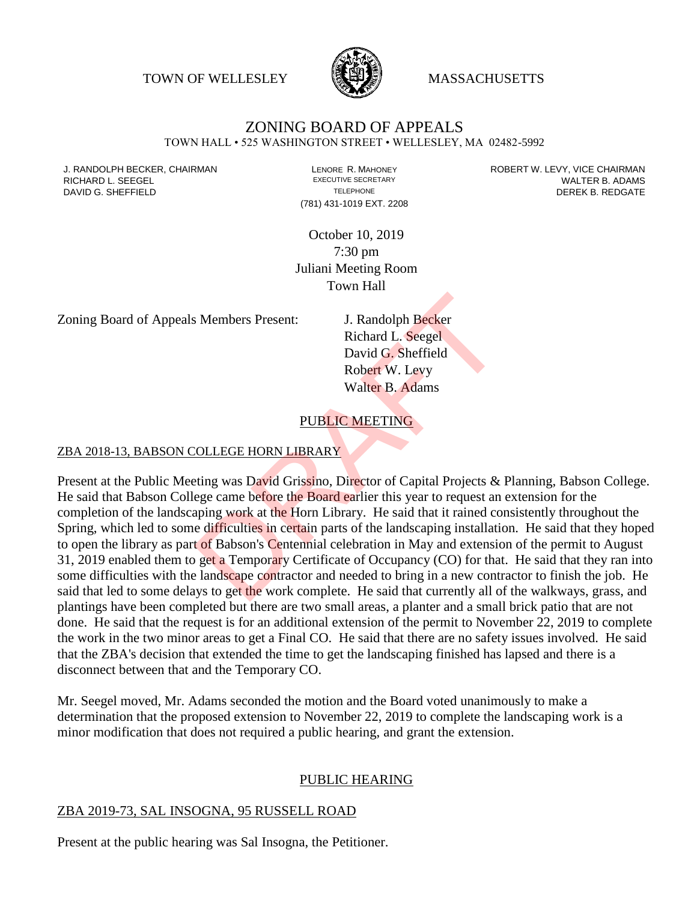TOWN OF WELLESLEY **WASSACHUSETTS** 



# ZONING BOARD OF APPEALS

TOWN HALL • 525 WASHINGTON STREET • WELLESLEY, MA 02482-5992

(781) 431-1019 EXT. 2208

J. RANDOLPH BECKER, CHAIRMAN LAND LENORE R. MAHONEY LENORE RESOLUTIVE SECRETARY LEVY, VICE CHAIRMAN LAND RISPO<br>RICHARD L. SFFGFI LADAMS RICHARD L. SEEGEL **EXECUTIVE SECRETARY CONTROLL SEEGETARY** WALTER B. ADAMS DAVID G. SHEFFIELD **TELEPHONE** TELEPHONE TELEPHONE **TELEPHONE DEREK B. REDGATE** 

> October 10, 2019 7:30 pm Juliani Meeting Room Town Hall

Zoning Board of Appeals Members Present: J. Randolph Becker

Richard L. Seegel David G. Sheffield Robert W. Levy Walter B. Adams

## PUBLIC MEETING

#### ZBA 2018-13, BABSON COLLEGE HORN LIBRARY

Present at the Public Meeting was David Grissino, Director of Capital Projects & Planning, Babson College. He said that Babson College came before the Board earlier this year to request an extension for the completion of the landscaping work at the Horn Library. He said that it rained consistently throughout the Spring, which led to some difficulties in certain parts of the landscaping installation. He said that they hoped to open the library as part of Babson's Centennial celebration in May and extension of the permit to August 31, 2019 enabled them to get a Temporary Certificate of Occupancy (CO) for that. He said that they ran into some difficulties with the landscape contractor and needed to bring in a new contractor to finish the job. He said that led to some delays to get the work complete. He said that currently all of the walkways, grass, and plantings have been completed but there are two small areas, a planter and a small brick patio that are not done. He said that the request is for an additional extension of the permit to November 22, 2019 to complete the work in the two minor areas to get a Final CO. He said that there are no safety issues involved. He said that the ZBA's decision that extended the time to get the landscaping finished has lapsed and there is a disconnect between that and the Temporary CO. I. Randolph Becker<br>
Richard L. Seegel<br>
David G. Sheffield<br>
Robert W. Levy<br>
Walter B. Adams<br>
PUBLIC MEETING<br>
COLLEGE HORN LIBRARY<br>
PUBLIC MEETING<br>
COLLEGE HORN LIBRARY<br>
EUBLIC MEETING<br>
COLLEGE HORN LIBRARY<br>
EUBLIC MEETING<br>

Mr. Seegel moved, Mr. Adams seconded the motion and the Board voted unanimously to make a determination that the proposed extension to November 22, 2019 to complete the landscaping work is a minor modification that does not required a public hearing, and grant the extension.

#### PUBLIC HEARING

#### ZBA 2019-73, SAL INSOGNA, 95 RUSSELL ROAD

Present at the public hearing was Sal Insogna, the Petitioner.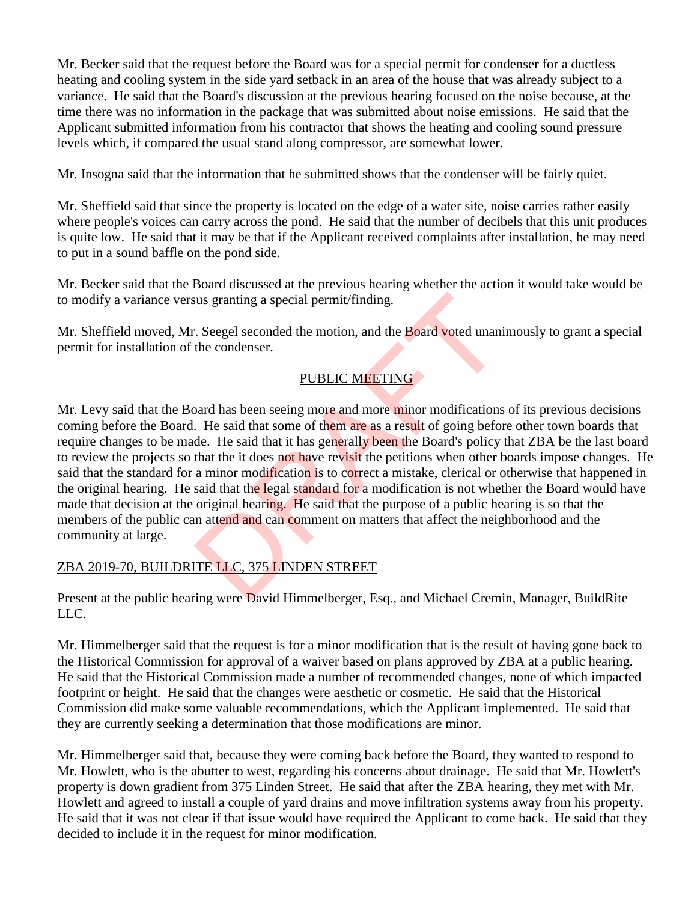Mr. Becker said that the request before the Board was for a special permit for condenser for a ductless heating and cooling system in the side yard setback in an area of the house that was already subject to a variance. He said that the Board's discussion at the previous hearing focused on the noise because, at the time there was no information in the package that was submitted about noise emissions. He said that the Applicant submitted information from his contractor that shows the heating and cooling sound pressure levels which, if compared the usual stand along compressor, are somewhat lower.

Mr. Insogna said that the information that he submitted shows that the condenser will be fairly quiet.

Mr. Sheffield said that since the property is located on the edge of a water site, noise carries rather easily where people's voices can carry across the pond. He said that the number of decibels that this unit produces is quite low. He said that it may be that if the Applicant received complaints after installation, he may need to put in a sound baffle on the pond side.

Mr. Becker said that the Board discussed at the previous hearing whether the action it would take would be to modify a variance versus granting a special permit/finding.

Mr. Sheffield moved, Mr. Seegel seconded the motion, and the Board voted unanimously to grant a special permit for installation of the condenser.

# PUBLIC MEETING

Mr. Levy said that the Board has been seeing more and more minor modifications of its previous decisions coming before the Board. He said that some of them are as a result of going before other town boards that require changes to be made. He said that it has generally been the Board's policy that ZBA be the last board to review the projects so that the it does not have revisit the petitions when other boards impose changes. He said that the standard for a minor modification is to correct a mistake, clerical or otherwise that happened in the original hearing. He said that the legal standard for a modification is not whether the Board would have made that decision at the original hearing. He said that the purpose of a public hearing is so that the members of the public can attend and can comment on matters that affect the neighborhood and the community at large. International Section 2.1 THE U.C. 375 LINDEN STREET The were David Himmelberger. Basic Marked Creating were paid Himmelberger.<br>
The said that some of them are as a result of going before the said that some of them are as

# ZBA 2019-70, BUILDRITE LLC, 375 LINDEN STREET

Present at the public hearing were David Himmelberger, Esq., and Michael Cremin, Manager, BuildRite LLC.

Mr. Himmelberger said that the request is for a minor modification that is the result of having gone back to the Historical Commission for approval of a waiver based on plans approved by ZBA at a public hearing. He said that the Historical Commission made a number of recommended changes, none of which impacted footprint or height. He said that the changes were aesthetic or cosmetic. He said that the Historical Commission did make some valuable recommendations, which the Applicant implemented. He said that they are currently seeking a determination that those modifications are minor.

Mr. Himmelberger said that, because they were coming back before the Board, they wanted to respond to Mr. Howlett, who is the abutter to west, regarding his concerns about drainage. He said that Mr. Howlett's property is down gradient from 375 Linden Street. He said that after the ZBA hearing, they met with Mr. Howlett and agreed to install a couple of yard drains and move infiltration systems away from his property. He said that it was not clear if that issue would have required the Applicant to come back. He said that they decided to include it in the request for minor modification.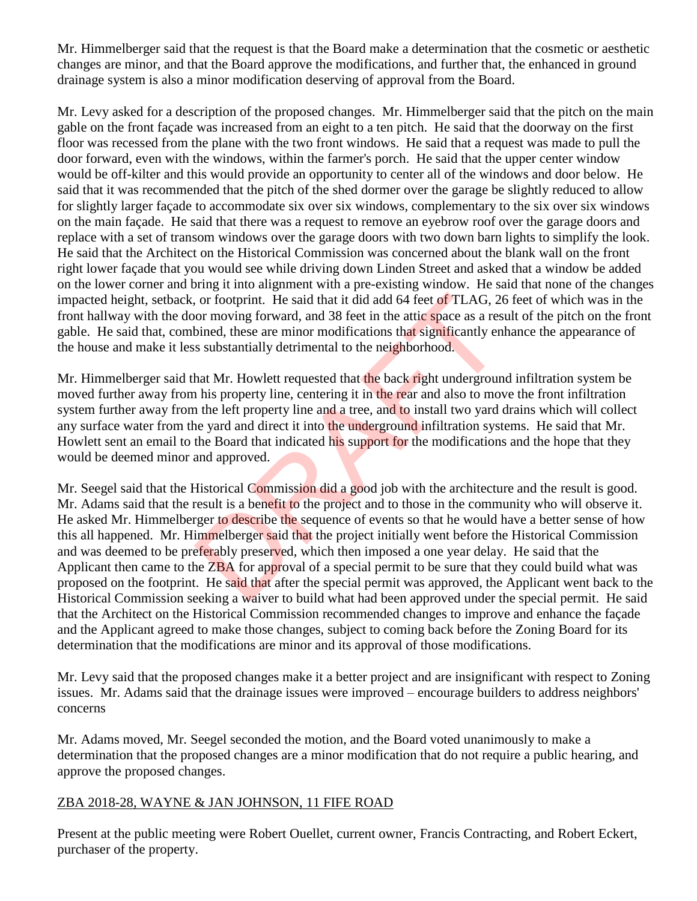Mr. Himmelberger said that the request is that the Board make a determination that the cosmetic or aesthetic changes are minor, and that the Board approve the modifications, and further that, the enhanced in ground drainage system is also a minor modification deserving of approval from the Board.

Mr. Levy asked for a description of the proposed changes. Mr. Himmelberger said that the pitch on the main gable on the front façade was increased from an eight to a ten pitch. He said that the doorway on the first floor was recessed from the plane with the two front windows. He said that a request was made to pull the door forward, even with the windows, within the farmer's porch. He said that the upper center window would be off-kilter and this would provide an opportunity to center all of the windows and door below. He said that it was recommended that the pitch of the shed dormer over the garage be slightly reduced to allow for slightly larger façade to accommodate six over six windows, complementary to the six over six windows on the main façade. He said that there was a request to remove an eyebrow roof over the garage doors and replace with a set of transom windows over the garage doors with two down barn lights to simplify the look. He said that the Architect on the Historical Commission was concerned about the blank wall on the front right lower façade that you would see while driving down Linden Street and asked that a window be added on the lower corner and bring it into alignment with a pre-existing window. He said that none of the changes impacted height, setback, or footprint. He said that it did add 64 feet of TLAG, 26 feet of which was in the front hallway with the door moving forward, and 38 feet in the attic space as a result of the pitch on the front gable. He said that, combined, these are minor modifications that significantly enhance the appearance of the house and make it less substantially detrimental to the neighborhood.

Mr. Himmelberger said that Mr. Howlett requested that the back right underground infiltration system be moved further away from his property line, centering it in the rear and also to move the front infiltration system further away from the left property line and a tree, and to install two yard drains which will collect any surface water from the yard and direct it into the underground infiltration systems. He said that Mr. Howlett sent an email to the Board that indicated his support for the modifications and the hope that they would be deemed minor and approved.

Mr. Seegel said that the Historical Commission did a good job with the architecture and the result is good. Mr. Adams said that the result is a benefit to the project and to those in the community who will observe it. He asked Mr. Himmelberger to describe the sequence of events so that he would have a better sense of how this all happened. Mr. Himmelberger said that the project initially went before the Historical Commission and was deemed to be preferably preserved, which then imposed a one year delay. He said that the Applicant then came to the **ZBA** for approval of a special permit to be sure that they could build what was proposed on the footprint. He said that after the special permit was approved, the Applicant went back to the Historical Commission seeking a waiver to build what had been approved under the special permit. He said that the Architect on the Historical Commission recommended changes to improve and enhance the façade and the Applicant agreed to make those changes, subject to coming back before the Zoning Board for its determination that the modifications are minor and its approval of those modifications. or footprint. He said that it did add 64 feet of TLAG, 20<br>or moving forward, and 38 feet in the attic space as a res<br>bined, these are minor modifications that significantly en<br>s substantially detrimental to the neighborho

Mr. Levy said that the proposed changes make it a better project and are insignificant with respect to Zoning issues. Mr. Adams said that the drainage issues were improved – encourage builders to address neighbors' concerns

Mr. Adams moved, Mr. Seegel seconded the motion, and the Board voted unanimously to make a determination that the proposed changes are a minor modification that do not require a public hearing, and approve the proposed changes.

### ZBA 2018-28, WAYNE & JAN JOHNSON, 11 FIFE ROAD

Present at the public meeting were Robert Ouellet, current owner, Francis Contracting, and Robert Eckert, purchaser of the property.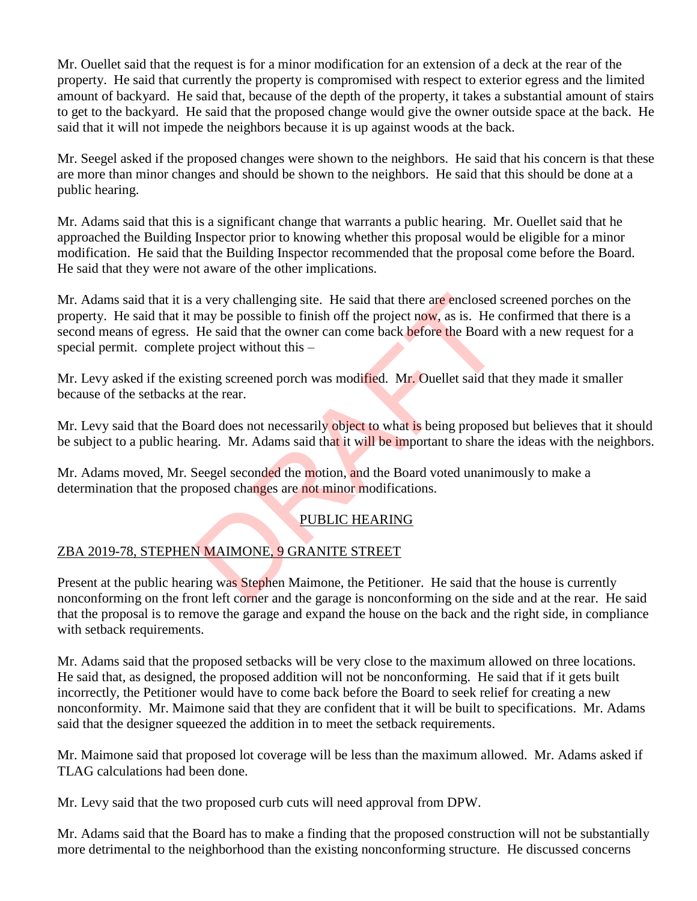Mr. Ouellet said that the request is for a minor modification for an extension of a deck at the rear of the property. He said that currently the property is compromised with respect to exterior egress and the limited amount of backyard. He said that, because of the depth of the property, it takes a substantial amount of stairs to get to the backyard. He said that the proposed change would give the owner outside space at the back. He said that it will not impede the neighbors because it is up against woods at the back.

Mr. Seegel asked if the proposed changes were shown to the neighbors. He said that his concern is that these are more than minor changes and should be shown to the neighbors. He said that this should be done at a public hearing.

Mr. Adams said that this is a significant change that warrants a public hearing. Mr. Ouellet said that he approached the Building Inspector prior to knowing whether this proposal would be eligible for a minor modification. He said that the Building Inspector recommended that the proposal come before the Board. He said that they were not aware of the other implications.

Mr. Adams said that it is a very challenging site. He said that there are enclosed screened porches on the property. He said that it may be possible to finish off the project now, as is. He confirmed that there is a second means of egress. He said that the owner can come back before the Board with a new request for a special permit. complete project without this – a very challenging site. He said that there are enclosed s<br>may be possible to finish off the project now, as is. He c<br>He said that the owner can come back before the Board v<br>project without this –<br>sting screened porch was

Mr. Levy asked if the existing screened porch was modified. Mr. Ouellet said that they made it smaller because of the setbacks at the rear.

Mr. Levy said that the Board does not necessarily object to what is being proposed but believes that it should be subject to a public hearing. Mr. Adams said that it will be important to share the ideas with the neighbors.

Mr. Adams moved, Mr. Seegel seconded the motion, and the Board voted unanimously to make a determination that the proposed changes are not minor modifications.

# PUBLIC HEARING

# ZBA 2019-78, STEPHEN MAIMONE, 9 GRANITE STREET

Present at the public hearing was Stephen Maimone, the Petitioner. He said that the house is currently nonconforming on the front left corner and the garage is nonconforming on the side and at the rear. He said that the proposal is to remove the garage and expand the house on the back and the right side, in compliance with setback requirements.

Mr. Adams said that the proposed setbacks will be very close to the maximum allowed on three locations. He said that, as designed, the proposed addition will not be nonconforming. He said that if it gets built incorrectly, the Petitioner would have to come back before the Board to seek relief for creating a new nonconformity. Mr. Maimone said that they are confident that it will be built to specifications. Mr. Adams said that the designer squeezed the addition in to meet the setback requirements.

Mr. Maimone said that proposed lot coverage will be less than the maximum allowed. Mr. Adams asked if TLAG calculations had been done.

Mr. Levy said that the two proposed curb cuts will need approval from DPW.

Mr. Adams said that the Board has to make a finding that the proposed construction will not be substantially more detrimental to the neighborhood than the existing nonconforming structure. He discussed concerns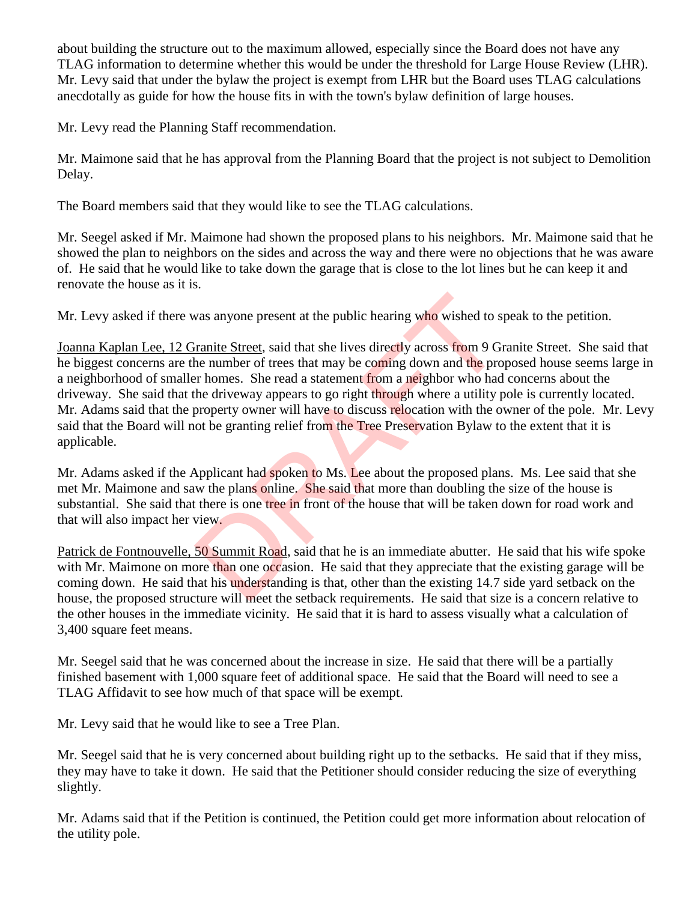about building the structure out to the maximum allowed, especially since the Board does not have any TLAG information to determine whether this would be under the threshold for Large House Review (LHR). Mr. Levy said that under the bylaw the project is exempt from LHR but the Board uses TLAG calculations anecdotally as guide for how the house fits in with the town's bylaw definition of large houses.

Mr. Levy read the Planning Staff recommendation.

Mr. Maimone said that he has approval from the Planning Board that the project is not subject to Demolition Delay.

The Board members said that they would like to see the TLAG calculations.

Mr. Seegel asked if Mr. Maimone had shown the proposed plans to his neighbors. Mr. Maimone said that he showed the plan to neighbors on the sides and across the way and there were no objections that he was aware of. He said that he would like to take down the garage that is close to the lot lines but he can keep it and renovate the house as it is.

Mr. Levy asked if there was anyone present at the public hearing who wished to speak to the petition.

Joanna Kaplan Lee, 12 Granite Street, said that she lives directly across from 9 Granite Street. She said that he biggest concerns are the number of trees that may be coming down and the proposed house seems large in a neighborhood of smaller homes. She read a statement from a neighbor who had concerns about the driveway. She said that the driveway appears to go right through where a utility pole is currently located. Mr. Adams said that the property owner will have to discuss relocation with the owner of the pole. Mr. Levy said that the Board will not be granting relief from the Tree Preservation Bylaw to the extent that it is applicable. was anyone present at the public hearing who wished to s<br>
in the Street, said that she lives directly across from 9 G<br>
in the number of trees that may be coming down and the pro-<br>
property owner will have to discuss reloca

Mr. Adams asked if the Applicant had spoken to Ms. Lee about the proposed plans. Ms. Lee said that she met Mr. Maimone and saw the plans online. She said that more than doubling the size of the house is substantial. She said that there is one tree in front of the house that will be taken down for road work and that will also impact her view.

Patrick de Fontnouvelle, 50 Summit Road, said that he is an immediate abutter. He said that his wife spoke with Mr. Maimone on more than one occasion. He said that they appreciate that the existing garage will be coming down. He said that his understanding is that, other than the existing 14.7 side yard setback on the house, the proposed structure will meet the setback requirements. He said that size is a concern relative to the other houses in the immediate vicinity. He said that it is hard to assess visually what a calculation of 3,400 square feet means.

Mr. Seegel said that he was concerned about the increase in size. He said that there will be a partially finished basement with 1,000 square feet of additional space. He said that the Board will need to see a TLAG Affidavit to see how much of that space will be exempt.

Mr. Levy said that he would like to see a Tree Plan.

Mr. Seegel said that he is very concerned about building right up to the setbacks. He said that if they miss, they may have to take it down. He said that the Petitioner should consider reducing the size of everything slightly.

Mr. Adams said that if the Petition is continued, the Petition could get more information about relocation of the utility pole.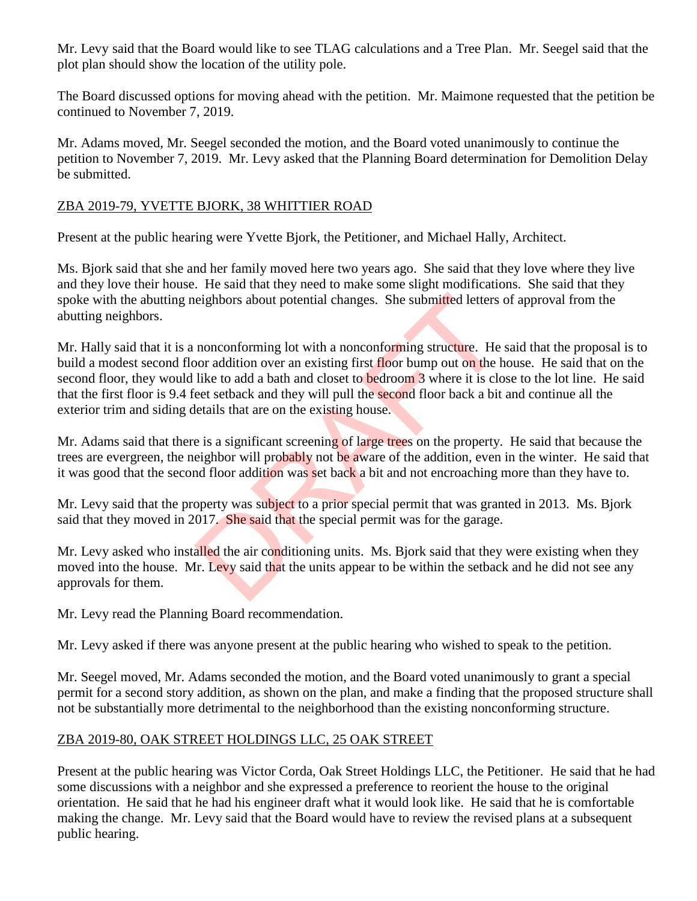Mr. Levy said that the Board would like to see TLAG calculations and a Tree Plan. Mr. Seegel said that the plot plan should show the location of the utility pole.

The Board discussed options for moving ahead with the petition. Mr. Maimone requested that the petition be continued to November 7, 2019.

Mr. Adams moved, Mr. Seegel seconded the motion, and the Board voted unanimously to continue the petition to November 7, 2019. Mr. Levy asked that the Planning Board determination for Demolition Delay be submitted.

## ZBA 2019-79, YVETTE BJORK, 38 WHITTIER ROAD

Present at the public hearing were Yvette Bjork, the Petitioner, and Michael Hally, Architect.

Ms. Bjork said that she and her family moved here two years ago. She said that they love where they live and they love their house. He said that they need to make some slight modifications. She said that they spoke with the abutting neighbors about potential changes. She submitted letters of approval from the abutting neighbors.

Mr. Hally said that it is a nonconforming lot with a nonconforming structure. He said that the proposal is to build a modest second floor addition over an existing first floor bump out on the house. He said that on the second floor, they would like to add a bath and closet to **be**droom 3 where it is close to the lot line. He said that the first floor is 9.4 feet setback and they will pull the second floor back a bit and continue all the exterior trim and siding details that are on the existing house. eighbors about potential changes. She submitted letters and about potential changes. She submitted letters and monoconforming lot with a nonconforming structure. He like to add a bath and closet to bedroom 3 where it is cl

Mr. Adams said that there is a significant screening of large trees on the property. He said that because the trees are evergreen, the neighbor will probably not be aware of the addition, even in the winter. He said that it was good that the second floor addition was set back a bit and not encroaching more than they have to.

Mr. Levy said that the property was subject to a prior special permit that was granted in 2013. Ms. Bjork said that they moved in 2017. She said that the special permit was for the garage.

Mr. Levy asked who installed the air conditioning units. Ms. Bjork said that they were existing when they moved into the house. Mr. Levy said that the units appear to be within the setback and he did not see any approvals for them.

Mr. Levy read the Planning Board recommendation.

Mr. Levy asked if there was anyone present at the public hearing who wished to speak to the petition.

Mr. Seegel moved, Mr. Adams seconded the motion, and the Board voted unanimously to grant a special permit for a second story addition, as shown on the plan, and make a finding that the proposed structure shall not be substantially more detrimental to the neighborhood than the existing nonconforming structure.

# ZBA 2019-80, OAK STREET HOLDINGS LLC, 25 OAK STREET

Present at the public hearing was Victor Corda, Oak Street Holdings LLC, the Petitioner. He said that he had some discussions with a neighbor and she expressed a preference to reorient the house to the original orientation. He said that he had his engineer draft what it would look like. He said that he is comfortable making the change. Mr. Levy said that the Board would have to review the revised plans at a subsequent public hearing.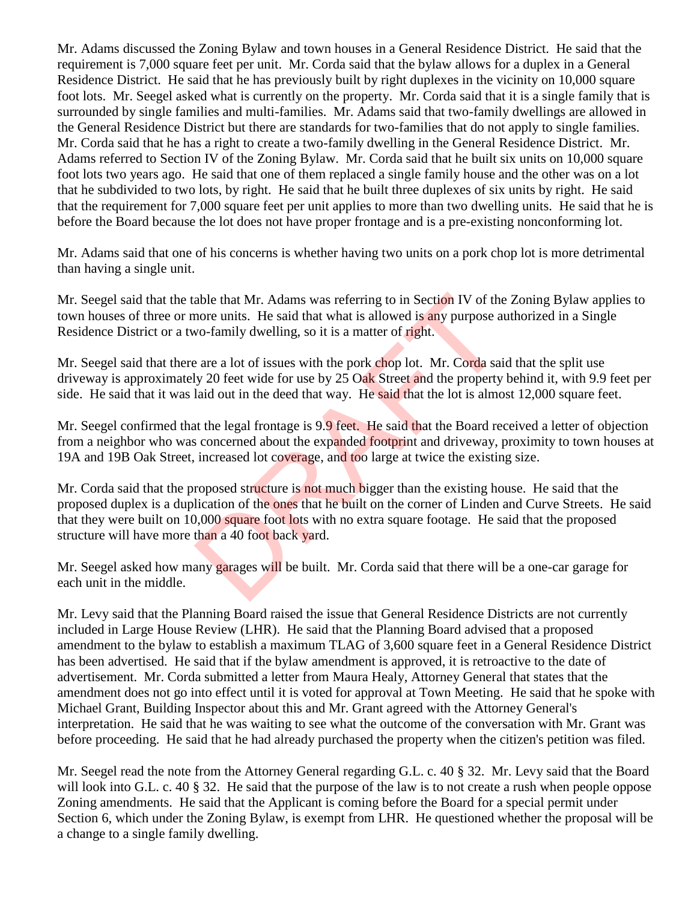Mr. Adams discussed the Zoning Bylaw and town houses in a General Residence District. He said that the requirement is 7,000 square feet per unit. Mr. Corda said that the bylaw allows for a duplex in a General Residence District. He said that he has previously built by right duplexes in the vicinity on 10,000 square foot lots. Mr. Seegel asked what is currently on the property. Mr. Corda said that it is a single family that is surrounded by single families and multi-families. Mr. Adams said that two-family dwellings are allowed in the General Residence District but there are standards for two-families that do not apply to single families. Mr. Corda said that he has a right to create a two-family dwelling in the General Residence District. Mr. Adams referred to Section IV of the Zoning Bylaw. Mr. Corda said that he built six units on 10,000 square foot lots two years ago. He said that one of them replaced a single family house and the other was on a lot that he subdivided to two lots, by right. He said that he built three duplexes of six units by right. He said that the requirement for 7,000 square feet per unit applies to more than two dwelling units. He said that he is before the Board because the lot does not have proper frontage and is a pre-existing nonconforming lot.

Mr. Adams said that one of his concerns is whether having two units on a pork chop lot is more detrimental than having a single unit.

Mr. Seegel said that the table that Mr. Adams was referring to in Section IV of the Zoning Bylaw applies to town houses of three or more units. He said that what is allowed is any purpose authorized in a Single Residence District or a two-family dwelling, so it is a matter of right.

Mr. Seegel said that there are a lot of issues with the pork chop lot. Mr. Corda said that the split use driveway is approximately 20 feet wide for use by 25 Oak Street and the property behind it, with 9.9 feet per side. He said that it was laid out in the deed that way. He said that the lot is almost 12,000 square feet.

Mr. Seegel confirmed that the legal frontage is 9.9 feet. He said that the Board received a letter of objection from a neighbor who was concerned about the expanded footprint and driveway, proximity to town houses at 19A and 19B Oak Street, increased lot coverage, and too large at twice the existing size.

Mr. Corda said that the proposed structure is not much bigger than the existing house. He said that the proposed duplex is a duplication of the ones that he built on the corner of Linden and Curve Streets. He said that they were built on 10,000 square foot lots with no extra square footage. He said that the proposed structure will have more than a 40 foot back yard. able that Mr. Adams was referring to in Section IV of the<br>nore units. He said that what is allowed is any purpose a<br>wo-family dwelling, so it is a matter of right.<br>are a lot of issues with the pork chop lot. Mr. Corda sai<br>

Mr. Seegel asked how many garages will be built. Mr. Corda said that there will be a one-car garage for each unit in the middle.

Mr. Levy said that the Planning Board raised the issue that General Residence Districts are not currently included in Large House Review (LHR). He said that the Planning Board advised that a proposed amendment to the bylaw to establish a maximum TLAG of 3,600 square feet in a General Residence District has been advertised. He said that if the bylaw amendment is approved, it is retroactive to the date of advertisement. Mr. Corda submitted a letter from Maura Healy, Attorney General that states that the amendment does not go into effect until it is voted for approval at Town Meeting. He said that he spoke with Michael Grant, Building Inspector about this and Mr. Grant agreed with the Attorney General's interpretation. He said that he was waiting to see what the outcome of the conversation with Mr. Grant was before proceeding. He said that he had already purchased the property when the citizen's petition was filed.

Mr. Seegel read the note from the Attorney General regarding G.L. c. 40 § 32. Mr. Levy said that the Board will look into G.L. c. 40 § 32. He said that the purpose of the law is to not create a rush when people oppose Zoning amendments. He said that the Applicant is coming before the Board for a special permit under Section 6, which under the Zoning Bylaw, is exempt from LHR. He questioned whether the proposal will be a change to a single family dwelling.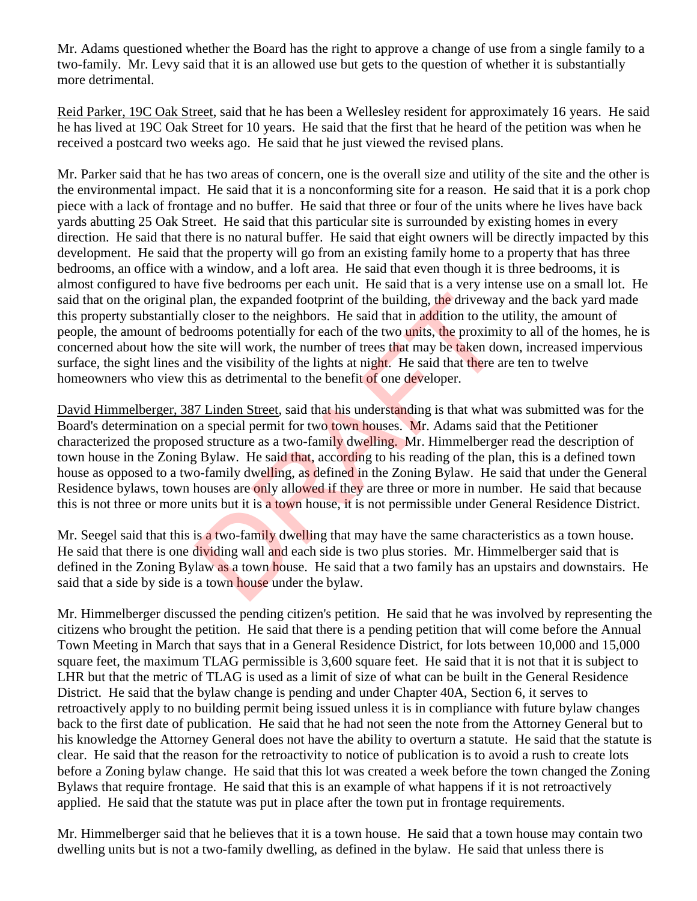Mr. Adams questioned whether the Board has the right to approve a change of use from a single family to a two-family. Mr. Levy said that it is an allowed use but gets to the question of whether it is substantially more detrimental.

Reid Parker, 19C Oak Street, said that he has been a Wellesley resident for approximately 16 years. He said he has lived at 19C Oak Street for 10 years. He said that the first that he heard of the petition was when he received a postcard two weeks ago. He said that he just viewed the revised plans.

Mr. Parker said that he has two areas of concern, one is the overall size and utility of the site and the other is the environmental impact. He said that it is a nonconforming site for a reason. He said that it is a pork chop piece with a lack of frontage and no buffer. He said that three or four of the units where he lives have back yards abutting 25 Oak Street. He said that this particular site is surrounded by existing homes in every direction. He said that there is no natural buffer. He said that eight owners will be directly impacted by this development. He said that the property will go from an existing family home to a property that has three bedrooms, an office with a window, and a loft area. He said that even though it is three bedrooms, it is almost configured to have five bedrooms per each unit. He said that is a very intense use on a small lot. He said that on the original plan, the expanded footprint of the building, the driveway and the back yard made this property substantially closer to the neighbors. He said that in addition to the utility, the amount of people, the amount of bedrooms potentially for each of the two units, the proximity to all of the homes, he is concerned about how the site will work, the number of trees that may be taken down, increased impervious surface, the sight lines and the visibility of the lights at night. He said that there are ten to twelve homeowners who view this as detrimental to the benefit of one developer.

David Himmelberger, 387 Linden Street, said that his understanding is that what was submitted was for the Board's determination on a special permit for two town houses. Mr. Adams said that the Petitioner characterized the proposed structure as a two-family dwelling. Mr. Himmelberger read the description of town house in the Zoning Bylaw. He said that, according to his reading of the plan, this is a defined town house as opposed to a two-family dwelling, as defined in the Zoning Bylaw. He said that under the General Residence bylaws, town houses are only allowed if they are three or more in number. He said that because this is not three or more units but it is a town house, it is not permissible under General Residence District. blan, the expanded footprint of the building, the driveway<br>y closer to the neighbors. He said that in addition to the throms potentially for each of the two units, the proximi<br>site will work, the number of trees that may b

Mr. Seegel said that this is a two-family dwelling that may have the same characteristics as a town house. He said that there is one dividing wall and each side is two plus stories. Mr. Himmelberger said that is defined in the Zoning Bylaw as a town house. He said that a two family has an upstairs and downstairs. He said that a side by side is a town house under the bylaw.

Mr. Himmelberger discussed the pending citizen's petition. He said that he was involved by representing the citizens who brought the petition. He said that there is a pending petition that will come before the Annual Town Meeting in March that says that in a General Residence District, for lots between 10,000 and 15,000 square feet, the maximum TLAG permissible is 3,600 square feet. He said that it is not that it is subject to LHR but that the metric of TLAG is used as a limit of size of what can be built in the General Residence District. He said that the bylaw change is pending and under Chapter 40A, Section 6, it serves to retroactively apply to no building permit being issued unless it is in compliance with future bylaw changes back to the first date of publication. He said that he had not seen the note from the Attorney General but to his knowledge the Attorney General does not have the ability to overturn a statute. He said that the statute is clear. He said that the reason for the retroactivity to notice of publication is to avoid a rush to create lots before a Zoning bylaw change. He said that this lot was created a week before the town changed the Zoning Bylaws that require frontage. He said that this is an example of what happens if it is not retroactively applied. He said that the statute was put in place after the town put in frontage requirements.

Mr. Himmelberger said that he believes that it is a town house. He said that a town house may contain two dwelling units but is not a two-family dwelling, as defined in the bylaw. He said that unless there is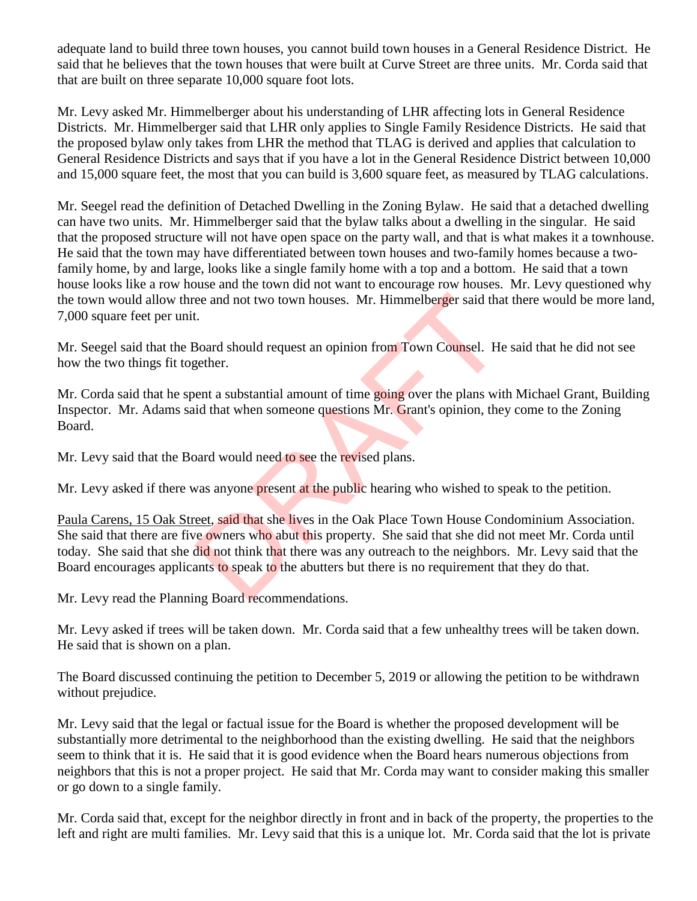adequate land to build three town houses, you cannot build town houses in a General Residence District. He said that he believes that the town houses that were built at Curve Street are three units. Mr. Corda said that that are built on three separate 10,000 square foot lots.

Mr. Levy asked Mr. Himmelberger about his understanding of LHR affecting lots in General Residence Districts. Mr. Himmelberger said that LHR only applies to Single Family Residence Districts. He said that the proposed bylaw only takes from LHR the method that TLAG is derived and applies that calculation to General Residence Districts and says that if you have a lot in the General Residence District between 10,000 and 15,000 square feet, the most that you can build is 3,600 square feet, as measured by TLAG calculations.

Mr. Seegel read the definition of Detached Dwelling in the Zoning Bylaw. He said that a detached dwelling can have two units. Mr. Himmelberger said that the bylaw talks about a dwelling in the singular. He said that the proposed structure will not have open space on the party wall, and that is what makes it a townhouse. He said that the town may have differentiated between town houses and two-family homes because a twofamily home, by and large, looks like a single family home with a top and a bottom. He said that a town house looks like a row house and the town did not want to encourage row houses. Mr. Levy questioned why the town would allow three and not two town houses. Mr. Himmelberger said that there would be more land, 7,000 square feet per unit.

Mr. Seegel said that the Board should request an opinion from Town Counsel. He said that he did not see how the two things fit together.

Mr. Corda said that he spent a substantial amount of time going over the plans with Michael Grant, Building Inspector. Mr. Adams said that when someone questions Mr. Grant's opinion, they come to the Zoning Board.

Mr. Levy said that the Board would need to see the revised plans.

Mr. Levy asked if there was anyone present at the public hearing who wished to speak to the petition.

Paula Carens, 15 Oak Street, said that she lives in the Oak Place Town House Condominium Association. She said that there are five owners who abut this property. She said that she did not meet Mr. Corda until today. She said that she did not think that there was any outreach to the neighbors. Mr. Levy said that the Board encourages applicants to speak to the abutters but there is no requirement that they do that. ee and not two town houses. Mr. Himmelberger said that<br>t.<br>Board should request an opinion from Town Counsel. He<br>gether.<br>ent a substantial amount of time going over the plans with<br>id that when someone questions Mr. Grant's

Mr. Levy read the Planning Board recommendations.

Mr. Levy asked if trees will be taken down. Mr. Corda said that a few unhealthy trees will be taken down. He said that is shown on a plan.

The Board discussed continuing the petition to December 5, 2019 or allowing the petition to be withdrawn without prejudice.

Mr. Levy said that the legal or factual issue for the Board is whether the proposed development will be substantially more detrimental to the neighborhood than the existing dwelling. He said that the neighbors seem to think that it is. He said that it is good evidence when the Board hears numerous objections from neighbors that this is not a proper project. He said that Mr. Corda may want to consider making this smaller or go down to a single family.

Mr. Corda said that, except for the neighbor directly in front and in back of the property, the properties to the left and right are multi families. Mr. Levy said that this is a unique lot. Mr. Corda said that the lot is private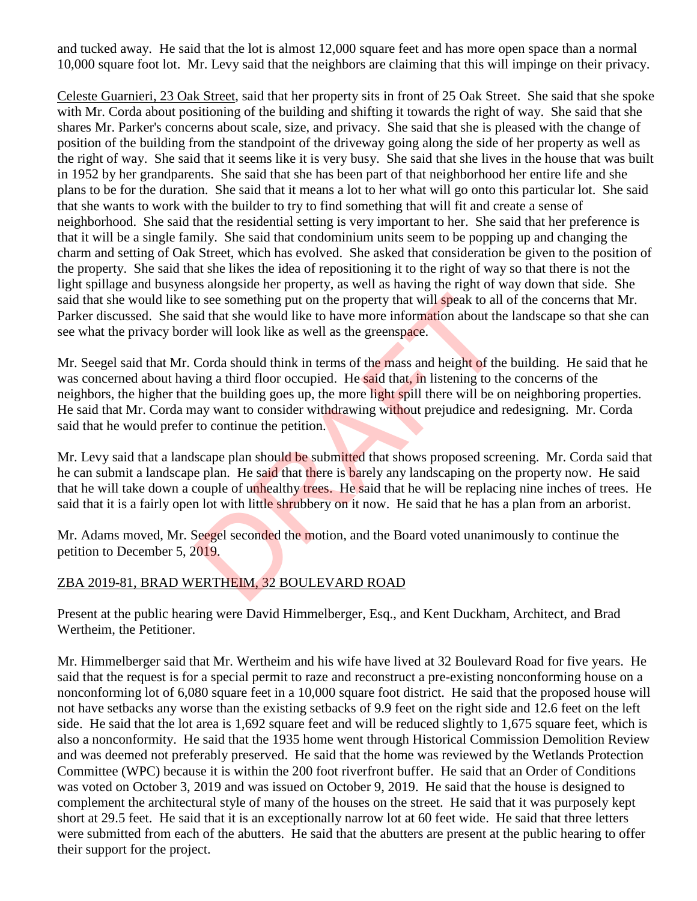and tucked away. He said that the lot is almost 12,000 square feet and has more open space than a normal 10,000 square foot lot. Mr. Levy said that the neighbors are claiming that this will impinge on their privacy.

Celeste Guarnieri, 23 Oak Street, said that her property sits in front of 25 Oak Street. She said that she spoke with Mr. Corda about positioning of the building and shifting it towards the right of way. She said that she shares Mr. Parker's concerns about scale, size, and privacy. She said that she is pleased with the change of position of the building from the standpoint of the driveway going along the side of her property as well as the right of way. She said that it seems like it is very busy. She said that she lives in the house that was built in 1952 by her grandparents. She said that she has been part of that neighborhood her entire life and she plans to be for the duration. She said that it means a lot to her what will go onto this particular lot. She said that she wants to work with the builder to try to find something that will fit and create a sense of neighborhood. She said that the residential setting is very important to her. She said that her preference is that it will be a single family. She said that condominium units seem to be popping up and changing the charm and setting of Oak Street, which has evolved. She asked that consideration be given to the position of the property. She said that she likes the idea of repositioning it to the right of way so that there is not the light spillage and busyness alongside her property, as well as having the right of way down that side. She said that she would like to see something put on the property that will speak to all of the concerns that Mr. Parker discussed. She said that she would like to have more information about the landscape so that she can see what the privacy border will look like as well as the greenspace.

Mr. Seegel said that Mr. Corda should think in terms of the mass and height of the building. He said that he was concerned about having a third floor occupied. He said that, in listening to the concerns of the neighbors, the higher that the building goes up, the more light spill there will be on neighboring properties. He said that Mr. Corda may want to consider withdrawing without prejudice and redesigning. Mr. Corda said that he would prefer to continue the petition. o see something put on the property that will speak to all<br>id that she would like to have more information about the<br>ler will look like as well as the greenspace.<br>Corda should think in terms of the mass and height of the<br>i

Mr. Levy said that a landscape plan should be submitted that shows proposed screening. Mr. Corda said that he can submit a landscape plan. He said that there is barely any landscaping on the property now. He said that he will take down a couple of unhealthy trees. He said that he will be replacing nine inches of trees. He said that it is a fairly open lot with little shrubbery on it now. He said that he has a plan from an arborist.

Mr. Adams moved, Mr. Seegel seconded the motion, and the Board voted unanimously to continue the petition to December 5, 2019.

### ZBA 2019-81, BRAD WERTHEIM, 32 BOULEVARD ROAD

Present at the public hearing were David Himmelberger, Esq., and Kent Duckham, Architect, and Brad Wertheim, the Petitioner.

Mr. Himmelberger said that Mr. Wertheim and his wife have lived at 32 Boulevard Road for five years. He said that the request is for a special permit to raze and reconstruct a pre-existing nonconforming house on a nonconforming lot of 6,080 square feet in a 10,000 square foot district. He said that the proposed house will not have setbacks any worse than the existing setbacks of 9.9 feet on the right side and 12.6 feet on the left side. He said that the lot area is 1,692 square feet and will be reduced slightly to 1,675 square feet, which is also a nonconformity. He said that the 1935 home went through Historical Commission Demolition Review and was deemed not preferably preserved. He said that the home was reviewed by the Wetlands Protection Committee (WPC) because it is within the 200 foot riverfront buffer. He said that an Order of Conditions was voted on October 3, 2019 and was issued on October 9, 2019. He said that the house is designed to complement the architectural style of many of the houses on the street. He said that it was purposely kept short at 29.5 feet. He said that it is an exceptionally narrow lot at 60 feet wide. He said that three letters were submitted from each of the abutters. He said that the abutters are present at the public hearing to offer their support for the project.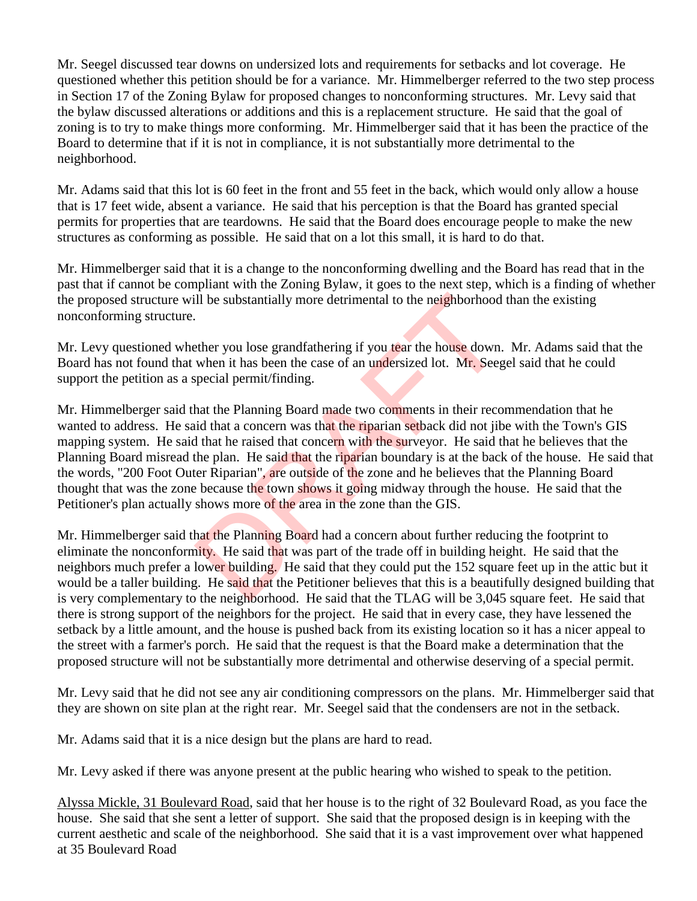Mr. Seegel discussed tear downs on undersized lots and requirements for setbacks and lot coverage. He questioned whether this petition should be for a variance. Mr. Himmelberger referred to the two step process in Section 17 of the Zoning Bylaw for proposed changes to nonconforming structures. Mr. Levy said that the bylaw discussed alterations or additions and this is a replacement structure. He said that the goal of zoning is to try to make things more conforming. Mr. Himmelberger said that it has been the practice of the Board to determine that if it is not in compliance, it is not substantially more detrimental to the neighborhood.

Mr. Adams said that this lot is 60 feet in the front and 55 feet in the back, which would only allow a house that is 17 feet wide, absent a variance. He said that his perception is that the Board has granted special permits for properties that are teardowns. He said that the Board does encourage people to make the new structures as conforming as possible. He said that on a lot this small, it is hard to do that.

Mr. Himmelberger said that it is a change to the nonconforming dwelling and the Board has read that in the past that if cannot be compliant with the Zoning Bylaw, it goes to the next step, which is a finding of whether the proposed structure will be substantially more detrimental to the neighborhood than the existing nonconforming structure.

Mr. Levy questioned whether you lose grandfathering if you tear the house down. Mr. Adams said that the Board has not found that when it has been the case of an undersized lot. Mr. Seegel said that he could support the petition as a special permit/finding.

Mr. Himmelberger said that the Planning Board made two comments in their recommendation that he wanted to address. He said that a concern was that the riparian setback did not jibe with the Town's GIS mapping system. He said that he raised that concern with the surveyor. He said that he believes that the Planning Board misread the plan. He said that the riparian boundary is at the back of the house. He said that the words, "200 Foot Outer Riparian", are outside of the zone and he believes that the Planning Board thought that was the zone because the town shows it going midway through the house. He said that the Petitioner's plan actually shows more of the area in the zone than the GIS. ill be substantially more detrimental to the neighborhood<br>there you lose grandfathering if you tear the house down.<br>when it has been the case of an undersized lot. Mr. Seeg<br>special permit/finding.<br>hat the Planning Board ma

Mr. Himmelberger said that the Planning Board had a concern about further reducing the footprint to eliminate the nonconformity. He said that was part of the trade off in building height. He said that the neighbors much prefer a lower building. He said that they could put the 152 square feet up in the attic but it would be a taller building. He said that the Petitioner believes that this is a beautifully designed building that is very complementary to the neighborhood. He said that the TLAG will be 3,045 square feet. He said that there is strong support of the neighbors for the project. He said that in every case, they have lessened the setback by a little amount, and the house is pushed back from its existing location so it has a nicer appeal to the street with a farmer's porch. He said that the request is that the Board make a determination that the proposed structure will not be substantially more detrimental and otherwise deserving of a special permit.

Mr. Levy said that he did not see any air conditioning compressors on the plans. Mr. Himmelberger said that they are shown on site plan at the right rear. Mr. Seegel said that the condensers are not in the setback.

Mr. Adams said that it is a nice design but the plans are hard to read.

Mr. Levy asked if there was anyone present at the public hearing who wished to speak to the petition.

Alyssa Mickle, 31 Boulevard Road, said that her house is to the right of 32 Boulevard Road, as you face the house. She said that she sent a letter of support. She said that the proposed design is in keeping with the current aesthetic and scale of the neighborhood. She said that it is a vast improvement over what happened at 35 Boulevard Road